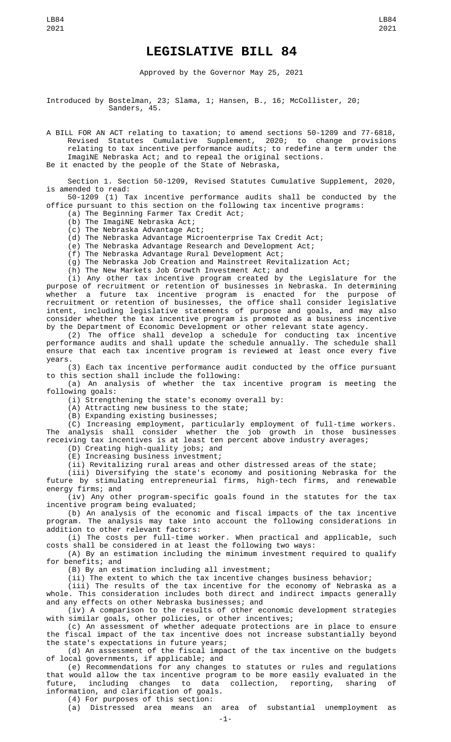## **LEGISLATIVE BILL 84**

Approved by the Governor May 25, 2021

Introduced by Bostelman, 23; Slama, 1; Hansen, B., 16; McCollister, 20; Sanders, 45.

A BILL FOR AN ACT relating to taxation; to amend sections 50-1209 and 77-6818, Revised Statutes Cumulative Supplement, 2020; to change provisions relating to tax incentive performance audits; to redefine a term under the

ImagiNE Nebraska Act; and to repeal the original sections.

Be it enacted by the people of the State of Nebraska,

Section 1. Section 50-1209, Revised Statutes Cumulative Supplement, 2020, is amended to read:

50-1209 (1) Tax incentive performance audits shall be conducted by the office pursuant to this section on the following tax incentive programs:

(a) The Beginning Farmer Tax Credit Act;

(b) The ImagiNE Nebraska Act;

(c) The Nebraska Advantage Act;

(d) The Nebraska Advantage Microenterprise Tax Credit Act;

(e) The Nebraska Advantage Research and Development Act;

(f) The Nebraska Advantage Rural Development Act;

(g) The Nebraska Job Creation and Mainstreet Revitalization Act;

(h) The New Markets Job Growth Investment Act; and

(i) Any other tax incentive program created by the Legislature for the purpose of recruitment or retention of businesses in Nebraska. In determining whether a future tax incentive program is enacted for the purpose of recruitment or retention of businesses, the office shall consider legislative intent, including legislative statements of purpose and goals, and may also consider whether the tax incentive program is promoted as a business incentive by the Department of Economic Development or other relevant state agency.

(2) The office shall develop a schedule for conducting tax incentive performance audits and shall update the schedule annually. The schedule shall ensure that each tax incentive program is reviewed at least once every five years.

(3) Each tax incentive performance audit conducted by the office pursuant to this section shall include the following:

(a) An analysis of whether the tax incentive program is meeting the following goals:

(i) Strengthening the state's economy overall by:

(A) Attracting new business to the state;

(B) Expanding existing businesses;

(C) Increasing employment, particularly employment of full-time workers. The analysis shall consider whether the job growth in those businesses receiving tax incentives is at least ten percent above industry averages;

(D) Creating high-quality jobs; and

(E) Increasing business investment;

(ii) Revitalizing rural areas and other distressed areas of the state;

(iii) Diversifying the state's economy and positioning Nebraska for the future by stimulating entrepreneurial firms, high-tech firms, and renewable energy firms; and

(iv) Any other program-specific goals found in the statutes for the tax incentive program being evaluated;

(b) An analysis of the economic and fiscal impacts of the tax incentive program. The analysis may take into account the following considerations in addition to other relevant factors:

(i) The costs per full-time worker. When practical and applicable, such costs shall be considered in at least the following two ways:

(A) By an estimation including the minimum investment required to qualify for benefits; and

(B) By an estimation including all investment;

(ii) The extent to which the tax incentive changes business behavior;

(iii) The results of the tax incentive for the economy of Nebraska as a whole. This consideration includes both direct and indirect impacts generally and any effects on other Nebraska businesses; and

(iv) A comparison to the results of other economic development strategies with similar goals, other policies, or other incentives;

(c) An assessment of whether adequate protections are in place to ensure the fiscal impact of the tax incentive does not increase substantially beyond the state's expectations in future years;

(d) An assessment of the fiscal impact of the tax incentive on the budgets of local governments, if applicable; and

(e) Recommendations for any changes to statutes or rules and regulations that would allow the tax incentive program to be more easily evaluated in the<br>future, including changes to data collection, reporting, sharing of future, including changes to data collection, reporting, sharing of information, and clarification of goals.

(4) For purposes of this section:

(a) Distressed area means an area of substantial unemployment as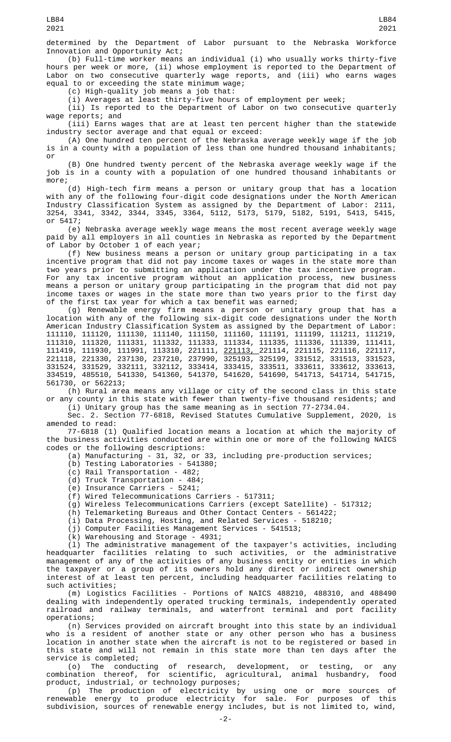determined by the Department of Labor pursuant to the Nebraska Workforce Innovation and Opportunity Act;

(b) Full-time worker means an individual (i) who usually works thirty-five hours per week or more, (ii) whose employment is reported to the Department of Labor on two consecutive quarterly wage reports, and (iii) who earns wages equal to or exceeding the state minimum wage;

(c) High-quality job means a job that:

(i) Averages at least thirty-five hours of employment per week;

(ii) Is reported to the Department of Labor on two consecutive quarterly wage reports; and

(iii) Earns wages that are at least ten percent higher than the statewide industry sector average and that equal or exceed:

(A) One hundred ten percent of the Nebraska average weekly wage if the job is in a county with a population of less than one hundred thousand inhabitants; or

(B) One hundred twenty percent of the Nebraska average weekly wage if the job is in a county with a population of one hundred thousand inhabitants or more;

(d) High-tech firm means a person or unitary group that has a location with any of the following four-digit code designations under the North American Industry Classification System as assigned by the Department of Labor: 2111, 3254, 3341, 3342, 3344, 3345, 3364, 5112, 5173, 5179, 5182, 5191, 5413, 5415, or 5417;

(e) Nebraska average weekly wage means the most recent average weekly wage paid by all employers in all counties in Nebraska as reported by the Department of Labor by October 1 of each year;

(f) New business means a person or unitary group participating in a tax incentive program that did not pay income taxes or wages in the state more than two years prior to submitting an application under the tax incentive program. For any tax incentive program without an application process, new business means a person or unitary group participating in the program that did not pay income taxes or wages in the state more than two years prior to the first day of the first tax year for which a tax benefit was earned;

(g) Renewable energy firm means a person or unitary group that has a location with any of the following six-digit code designations under the North American Industry Classification System as assigned by the Department of Labor: 111110, 111120, 111130, 111140, 111150, 111160, 111191, 111199, 111211, 111219, 111310, 111320, 111331, 111332, 111333, 111334, 111335, 111336, 111339, 111411, 111419, 111930, 111991, 113310, 221111, 221113, 221114, 221115, 221116, 221117, 221118, 221330, 237130, 237210, 237990, 325193, 325199, 331512, 331513, 331523, 331524, 331529, 332111, 332112, 333414, 333415, 333511, 333611, 333612, 333613, 334519, 485510, 541330, 541360, 541370, 541620, 541690, 541713, 541714, 541715, 561730, or 562213;

(h) Rural area means any village or city of the second class in this state or any county in this state with fewer than twenty-five thousand residents; and

(i) Unitary group has the same meaning as in section 77-2734.04. Sec. 2. Section 77-6818, Revised Statutes Cumulative Supplement, 2020, is amended to read:

77-6818 (1) Qualified location means a location at which the majority of the business activities conducted are within one or more of the following NAICS codes or the following descriptions:

- (a) Manufacturing 31, 32, or 33, including pre-production services;
- (b) Testing Laboratories 541380;
- (c) Rail Transportation 482;
- (d) Truck Transportation 484;
- (e) Insurance Carriers 5241;
- (f) Wired Telecommunications Carriers 517311;
- (g) Wireless Telecommunications Carriers (except Satellite) 517312;
- (h) Telemarketing Bureaus and Other Contact Centers 561422;
- (i) Data Processing, Hosting, and Related Services 518210;
- (j) Computer Facilities Management Services 541513;
- (k) Warehousing and Storage 4931;

(l) The administrative management of the taxpayer's activities, including headquarter facilities relating to such activities, or the administrative management of any of the activities of any business entity or entities in which the taxpayer or a group of its owners hold any direct or indirect ownership interest of at least ten percent, including headquarter facilities relating to such activities;

(m) Logistics Facilities - Portions of NAICS 488210, 488310, and 488490 dealing with independently operated trucking terminals, independently operated railroad and railway terminals, and waterfront terminal and port facility operations;

(n) Services provided on aircraft brought into this state by an individual who is a resident of another state or any other person who has a business location in another state when the aircraft is not to be registered or based in this state and will not remain in this state more than ten days after the service is completed;

(o) The conducting of research, development, or testing, or any combination thereof, for scientific, agricultural, animal husbandry, food product, industrial, or technology purposes;

(p) The production of electricity by using one or more sources of renewable energy to produce electricity for sale. For purposes of this subdivision, sources of renewable energy includes, but is not limited to, wind,